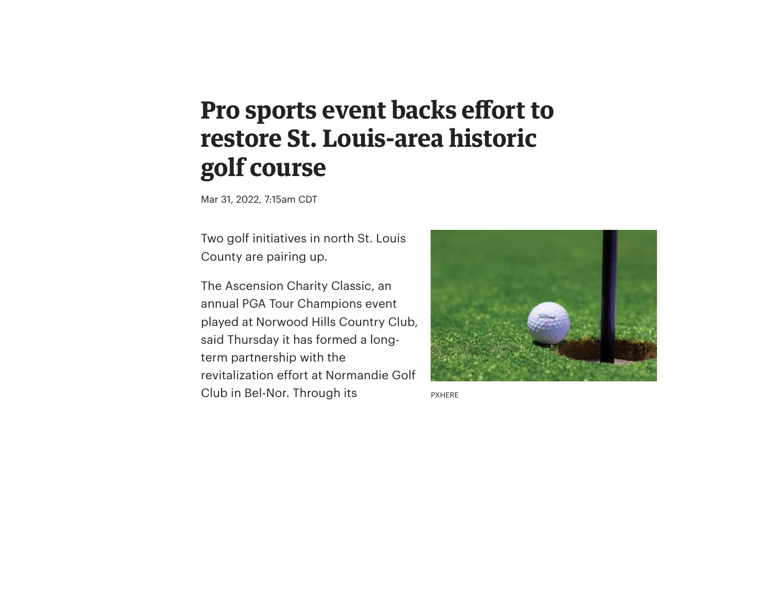## **Pro sports event backs effort to restore St. Louis-area historic golf course**

Mar 31, 2022, 7:15am CDT

Two golf initiatives in north St. Louis County are pairing up.

The Ascension Charity Classic, an annual PGA Tour Champions event played at Norwood Hills Country Club, said Thursday it has formed a longterm partnership with the revitalization effort at Normandie Golf Club in Bel-Nor. Through its



PXHERE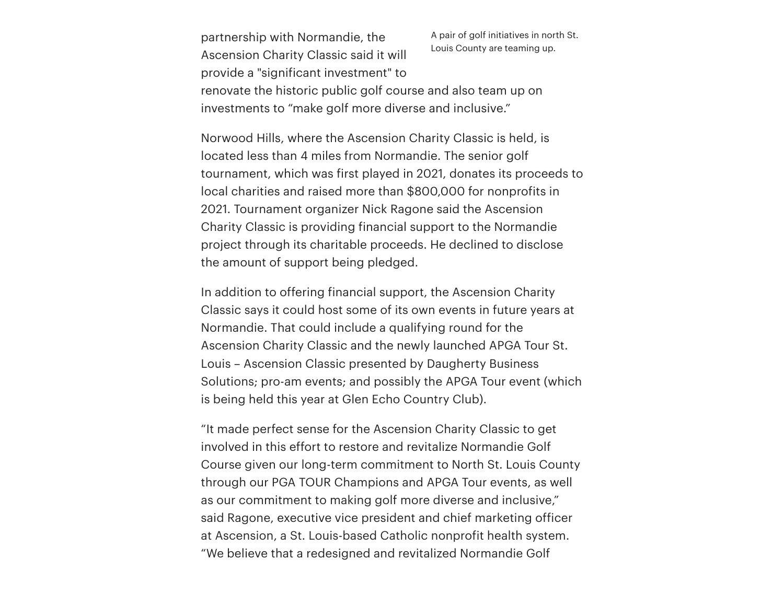A pair of golf initiatives in north St. Louis County are teaming up. partnership with Normandie, the Ascension Charity Classic said it will provide a "significant investment" to renovate the historic public golf course and also team up on investments to "make golf more diverse and inclusive."

Norwood Hills, where the Ascension Charity Classic is held, is located less than 4 miles from Normandie. The senior golf tournament, which was first played in 2021, donates its proceeds to local charities and raised more than [\\$800,000](https://www.bizjournals.com/stlouis/news/2021/10/20/inaugural-ascension-charity-classic-raises-800-00.html) for nonprofits in 2021. Tournament organizer Nick [Ragone](https://www.bizjournals.com/stlouis/search/results?q=Nick%20Ragone) said the Ascension Charity Classic is providing financial support to the Normandie project through its charitable proceeds. He declined to disclose the amount of support being pledged.

In addition to offering financial support, the Ascension Charity Classic says it could host some of its own events in future years at Normandie. That could include a qualifying round for the Ascension Charity Classic and the newly [launched](https://www.bizjournals.com/stlouis/news/2022/02/25/ascension-another-pro-golf-tournament-to-st-louis.html) APGA Tour St. Louis – Ascension Classic presented by Daugherty Business Solutions; pro-am events; and possibly the APGA Tour event (which is being held this year at Glen Echo Country Club).

"It made perfect sense for the Ascension Charity Classic to get involved in this effort to restore and revitalize Normandie Golf Course given our long-term commitment to North St. Louis County through our PGA TOUR Champions and APGA Tour events, as well as our commitment to making golf more diverse and inclusive," said Ragone, executive vice president and chief marketing officer at Ascension, a St. Louis-based Catholic nonprofit health system. "We believe that a redesigned and revitalized Normandie Golf